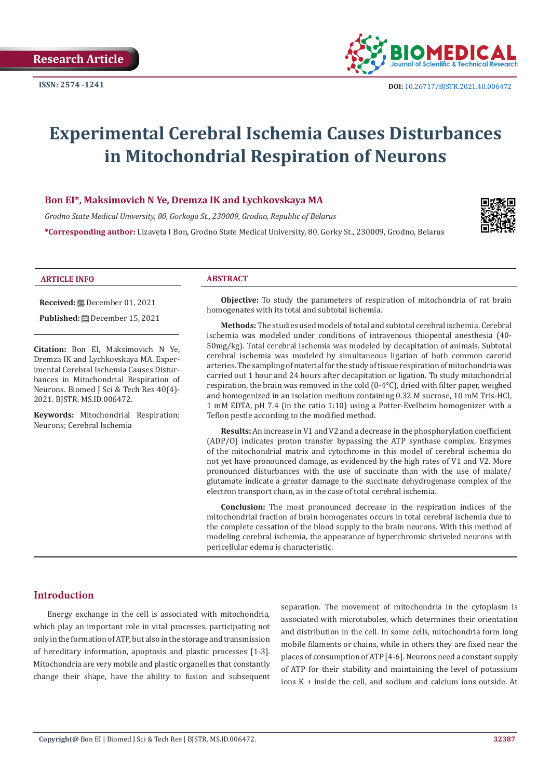

# **Experimental Cerebral Ischemia Causes Disturbances in Mitochondrial Respiration of Neurons**

#### **Bon EI\*, Maksimovich N Ye, Dremza IK and Lychkovskaya MA**

*Grodno State Medical University, 80, Gorkogo St., 230009, Grodno, Republic of Belarus* **\*Corresponding author:** Lizaveta I Bon, Grodno State Medical University, 80, Gorky St., 230009, Grodno, Belarus



#### **ARTICLE INFO ABSTRACT**

**Received:** December 01, 2021

**Published:** December 15, 2021

**Citation:** Bon EI, Maksimovich N Ye, Dremza IK and Lychkovskaya MA. Experimental Cerebral Ischemia Causes Disturbances in Mitochondrial Respiration of Neurons. Biomed J Sci & Tech Res 40(4)- 2021. BJSTR. MS.ID.006472.

**Keywords:** Mitochondrial Respiration; Neurons; Cerebral Ischemia

**Objective:** To study the parameters of respiration of mitochondria of rat brain homogenates with its total and subtotal ischemia.

**Methods:** The studies used models of total and subtotal cerebral ischemia. Cerebral ischemia was modeled under conditions of intravenous thiopental anesthesia (40- 50mg/kg). Total cerebral ischemia was modeled by decapitation of animals. Subtotal cerebral ischemia was modeled by simultaneous ligation of both common carotid arteries. The sampling of material for the study of tissue respiration of mitochondria was carried out 1 hour and 24 hours after decapitation or ligation. To study mitochondrial respiration, the brain was removed in the cold (0-4°C), dried with filter paper, weighed and homogenized in an isolation medium containing 0.32 M sucrose, 10 mM Tris-HCl, 1 mM EDTA, pH 7.4 (in the ratio 1:10) using a Potter-Evelheim homogenizer with a Teflon pestle according to the modified method.

**Results:** An increase in V1 and V2 and a decrease in the phosphorylation coefficient (ADP/O) indicates proton transfer bypassing the ATP synthase complex. Enzymes of the mitochondrial matrix and cytochrome in this model of cerebral ischemia do not yet have pronounced damage, as evidenced by the high rates of V1 and V2. More pronounced disturbances with the use of succinate than with the use of malate/ glutamate indicate a greater damage to the succinate dehydrogenase complex of the electron transport chain, as in the case of total cerebral ischemia.

**Conclusion:** The most pronounced decrease in the respiration indices of the mitochondrial fraction of brain homogenates occurs in total cerebral ischemia due to the complete cessation of the blood supply to the brain neurons. With this method of modeling cerebral ischemia, the appearance of hyperchromic shriveled neurons with pericellular edema is characteristic.

#### **Introduction**

Energy exchange in the cell is associated with mitochondria, which play an important role in vital processes, participating not only in the formation of ATP, but also in the storage and transmission of hereditary information, apoptosis and plastic processes [1-3]. Mitochondria are very mobile and plastic organelles that constantly change their shape, have the ability to fusion and subsequent separation. The movement of mitochondria in the cytoplasm is associated with microtubules, which determines their orientation and distribution in the cell. In some cells, mitochondria form long mobile filaments or chains, while in others they are fixed near the places of consumption of ATP [4-6]. Neurons need a constant supply of ATP for their stability and maintaining the level of potassium ions K + inside the cell, and sodium and calcium ions outside. At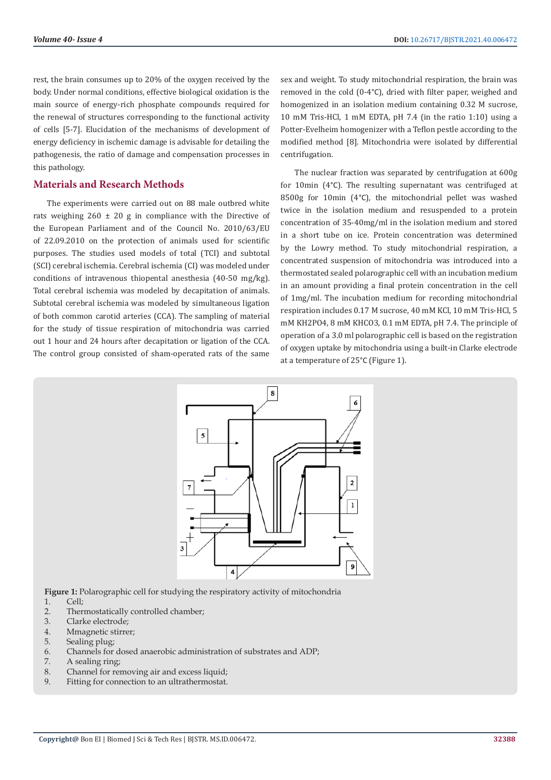rest, the brain consumes up to 20% of the oxygen received by the body. Under normal conditions, effective biological oxidation is the main source of energy-rich phosphate compounds required for the renewal of structures corresponding to the functional activity of cells [5-7]. Elucidation of the mechanisms of development of energy deficiency in ischemic damage is advisable for detailing the pathogenesis, the ratio of damage and compensation processes in this pathology.

### **Materials and Research Methods**

The experiments were carried out on 88 male outbred white rats weighing  $260 \pm 20$  g in compliance with the Directive of the European Parliament and of the Council No. 2010/63/EU of 22.09.2010 on the protection of animals used for scientific purposes. The studies used models of total (TCI) and subtotal (SCI) cerebral ischemia. Cerebral ischemia (CI) was modeled under conditions of intravenous thiopental anesthesia (40-50 mg/kg). Total cerebral ischemia was modeled by decapitation of animals. Subtotal cerebral ischemia was modeled by simultaneous ligation of both common carotid arteries (CCA). The sampling of material for the study of tissue respiration of mitochondria was carried out 1 hour and 24 hours after decapitation or ligation of the CCA. The control group consisted of sham-operated rats of the same sex and weight. To study mitochondrial respiration, the brain was removed in the cold (0-4°C), dried with filter paper, weighed and homogenized in an isolation medium containing 0.32 M sucrose, 10 mM Tris-HCl, 1 mM EDTA, pH 7.4 (in the ratio 1:10) using a Potter-Evelheim homogenizer with a Teflon pestle according to the modified method [8]. Mitochondria were isolated by differential centrifugation.

The nuclear fraction was separated by centrifugation at 600g for 10min (4°C). The resulting supernatant was centrifuged at 8500g for 10min (4°C), the mitochondrial pellet was washed twice in the isolation medium and resuspended to a protein concentration of 35-40mg/ml in the isolation medium and stored in a short tube on ice. Protein concentration was determined by the Lowry method. To study mitochondrial respiration, a concentrated suspension of mitochondria was introduced into a thermostated sealed polarographic cell with an incubation medium in an amount providing a final protein concentration in the cell of 1mg/ml. The incubation medium for recording mitochondrial respiration includes 0.17 M sucrose, 40 mM KCl, 10 mM Tris-HCl, 5 mM KH2PO4, 8 mM KHCO3, 0.1 mM EDTA, pH 7.4. The principle of operation of a 3.0 ml polarographic cell is based on the registration of oxygen uptake by mitochondria using a built-in Clarke electrode at a temperature of 25°C (Figure 1).



**Figure 1:** Polarographic cell for studying the respiratory activity of mitochondria

- $1 \quad$  Cell:
- 2. Thermostatically controlled chamber;
- 3. Clarke electrode;
- 4. Mmagnetic stirrer;
- 5. Sealing plug;
- 6. Channels for dosed anaerobic administration of substrates and ADP;
- 7. A sealing ring;
- 8. Channel for removing air and excess liquid;
- 9. Fitting for connection to an ultrathermostat.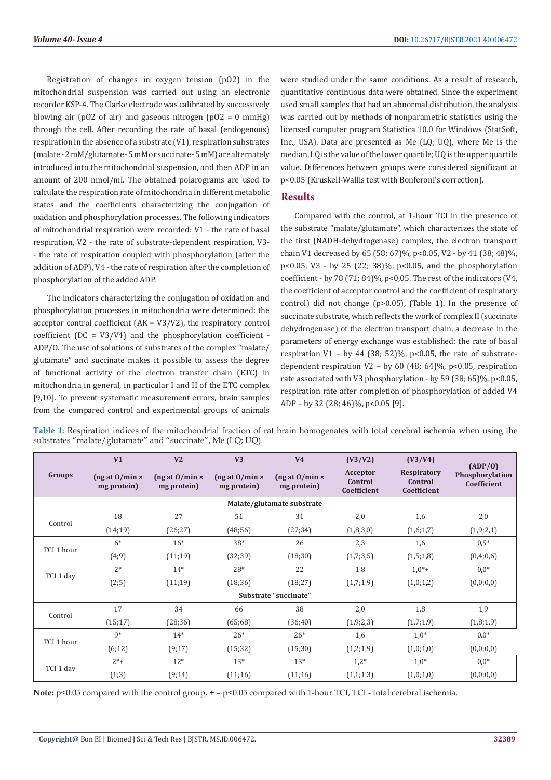Registration of changes in oxygen tension (pO2) in the mitochondrial suspension was carried out using an electronic recorder KSP-4. The Clarke electrode was calibrated by successively blowing air (pO2 of air) and gaseous nitrogen (pO2 = 0 mmHg) through the cell. After recording the rate of basal (endogenous) respiration in the absence of a substrate (V1), respiration substrates (malate - 2 mM/glutamate - 5 mM or succinate - 5 mM) are alternately introduced into the mitochondrial suspension, and then ADP in an amount of 200 nmol/ml. The obtained polarograms are used to calculate the respiration rate of mitochondria in different metabolic states and the coefficients characterizing the conjugation of oxidation and phosphorylation processes. The following indicators of mitochondrial respiration were recorded: V1 - the rate of basal respiration, V2 - the rate of substrate-dependent respiration, V3- - the rate of respiration coupled with phosphorylation (after the addition of ADP), V4 - the rate of respiration after the completion of phosphorylation of the added ADP.

The indicators characterizing the conjugation of oxidation and phosphorylation processes in mitochondria were determined: the acceptor control coefficient (AK = V3/V2), the respiratory control coefficient ( $DC = V3/V4$ ) and the phosphorylation coefficient -ADP/O. The use of solutions of substrates of the complex "malate/ glutamate" and succinate makes it possible to assess the degree of functional activity of the electron transfer chain (ETC) in mitochondria in general, in particular I and II of the ETC complex [9,10]. To prevent systematic measurement errors, brain samples from the compared control and experimental groups of animals

were studied under the same conditions. As a result of research, quantitative continuous data were obtained. Since the experiment used small samples that had an abnormal distribution, the analysis was carried out by methods of nonparametric statistics using the licensed computer program Statistica 10.0 for Windows (StatSoft, Inc., USA). Data are presented as Me (LQ; UQ), where Me is the median, LQ is the value of the lower quartile; UQ is the upper quartile value. Differences between groups were considered significant at p<0.05 (Kruskell-Wallis test with Bonferoni's correction).

## **Results**

Compared with the control, at 1-hour TCI in the presence of the substrate "malate/glutamate", which characterizes the state of the first (NADH-dehydrogenase) complex, the electron transport chain V1 decreased by 65 (58; 67)%, p<0.05, V2 - by 41 (38; 48)%, p<0.05, V3 - by 25 (22; 38)%, p<0.05, and the phosphorylation coefficient - by 78 (71; 84)%,  $p<0.05$ . The rest of the indicators (V4, the coefficient of acceptor control and the coefficient of respiratory control) did not change (p>0.05), (Table 1). In the presence of succinate substrate, which reflects the work of complex II (succinate dehydrogenase) of the electron transport chain, a decrease in the parameters of energy exchange was established: the rate of basal respiration V1 – by 44 (38; 52)%, p<0.05, the rate of substratedependent respiration  $V2 - by 60$  (48; 64)%, p<0.05, respiration rate associated with V3 phosphorylation - by 59 (38; 65)%, p<0.05, respiration rate after completion of phosphorylation of added V4 ADP – by 32 (28; 46)%, p<0.05 [9].

| Groups                     | V <sub>1</sub><br>( $ng$ at $0/m$ in $\times$<br>mg protein) | V <sub>2</sub><br>( $ng$ at $0/min \times$<br>mg protein) | V <sub>3</sub><br>( $ng$ at $0/min \times$<br>mg protein) | V <sub>4</sub><br>( $ng$ at $0/min \times$<br>mg protein) | (V3/V2)<br>Acceptor<br>Control<br>Coefficient | (V3/V4)<br>Respiratory<br>Control<br>Coefficient | (ADP/O)<br>Phosphorylation<br>Coefficient |  |  |  |  |
|----------------------------|--------------------------------------------------------------|-----------------------------------------------------------|-----------------------------------------------------------|-----------------------------------------------------------|-----------------------------------------------|--------------------------------------------------|-------------------------------------------|--|--|--|--|
| Malate/glutamate substrate |                                                              |                                                           |                                                           |                                                           |                                               |                                                  |                                           |  |  |  |  |
| Control                    | 18                                                           | 27                                                        | 51                                                        | 31                                                        | 2,0                                           | 1,6                                              | 2,0                                       |  |  |  |  |
|                            | (14;19)                                                      | (26; 27)                                                  | (48;56)                                                   | (27; 34)                                                  | (1,8,3,0)                                     | (1,6;1,7)                                        | (1,9;2,1)                                 |  |  |  |  |
| TCI 1 hour                 | $6*$                                                         | $16*$                                                     | 38*                                                       | 26                                                        | 2,3                                           | 1,6                                              | $0.5*$                                    |  |  |  |  |
|                            | (4, 9)                                                       | (11;19)                                                   | (32; 39)                                                  | (18;30)                                                   | (1,7;3,5)                                     | (1,5;1,8)                                        | (0,4;0,6)                                 |  |  |  |  |
| TCI 1 day                  | $2*$                                                         | $14*$                                                     | $28*$                                                     | 22                                                        | 1,8                                           | $1.0^{*}+$                                       | $0.0*$                                    |  |  |  |  |
|                            | (2;5)                                                        | (11;19)                                                   | (18;36)                                                   | (18;27)                                                   | (1,7;1,9)                                     | (1,0;1,2)                                        | (0,0;0,0)                                 |  |  |  |  |
| Substrate "succinate"      |                                                              |                                                           |                                                           |                                                           |                                               |                                                  |                                           |  |  |  |  |
| Control                    | 17                                                           | 34                                                        | 66                                                        | 38                                                        | 2,0                                           | 1,8                                              | 1,9                                       |  |  |  |  |
|                            | (15;17)                                                      | (28; 36)                                                  | (65;68)                                                   | (36; 40)                                                  | (1,9;2,3)                                     | (1,7;1,9)                                        | (1,8;1,9)                                 |  |  |  |  |
| TCI 1 hour                 | $q*$                                                         | $14*$                                                     | $26*$                                                     | $26*$                                                     | 1,6                                           | $1,0^*$                                          | $0.0*$                                    |  |  |  |  |
|                            | (6;12)                                                       | (9;17)                                                    | (15; 32)                                                  | (15;30)                                                   | (1,2;1,9)                                     | (1,0;1,0)                                        | (0,0;0,0)                                 |  |  |  |  |
| TCI 1 day                  | $2*+$                                                        | $12*$                                                     | $13*$                                                     | $13*$                                                     | $1,2*$                                        | $1,0^*$                                          | $0.0*$                                    |  |  |  |  |
|                            | (1;3)                                                        | (9;14)                                                    | (11;16)                                                   | (11;16)                                                   | (1,1;1,3)                                     | (1,0;1,0)                                        | (0,0;0,0)                                 |  |  |  |  |

**Table 1:** Respiration indices of the mitochondrial fraction of rat brain homogenates with total cerebral ischemia when using the substrates "malate/glutamate" and "succinate", Me (LQ; UQ).

**Note:** p<0.05 compared with the control group, + - p<0.05 compared with 1-hour TCI, TCI - total cerebral ischemia.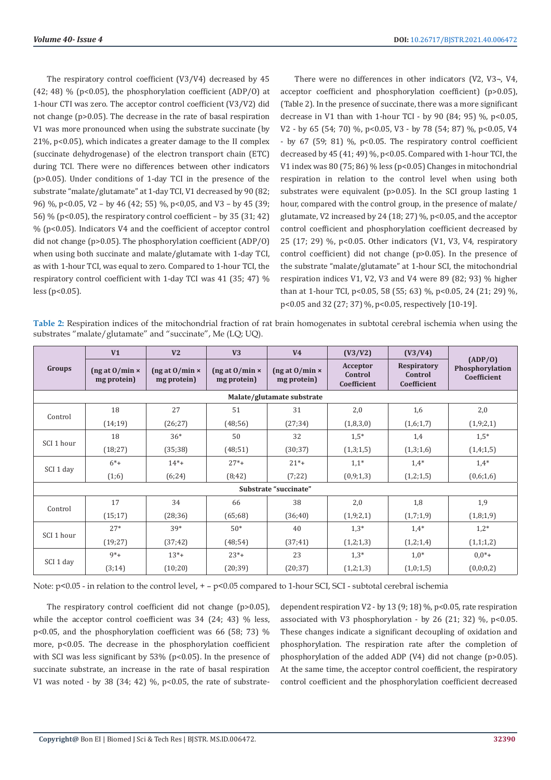The respiratory control coefficient (V3/V4) decreased by 45 (42; 48) % (p<0.05), the phosphorylation coefficient (ADP/O) at 1-hour CTI was zero. The acceptor control coefficient (V3/V2) did not change (p>0.05). The decrease in the rate of basal respiration V1 was more pronounced when using the substrate succinate (by 21%, p<0.05), which indicates a greater damage to the II complex (succinate dehydrogenase) of the electron transport chain (ETC) during TCI. There were no differences between other indicators (p>0.05). Under conditions of 1-day TCI in the presence of the substrate "malate/glutamate" at 1-day TCI, V1 decreased by 90 (82; 96) %, p<0.05, V2 – by 46 (42; 55) %, p<0,05, and V3 – by 45 (39; 56) % (p<0.05), the respiratory control coefficient – by 35 (31; 42) % (p<0.05). Indicators V4 and the coefficient of acceptor control did not change (p>0.05). The phosphorylation coefficient (ADP/O) when using both succinate and malate/glutamate with 1-day TCI, as with 1-hour TCI, was equal to zero. Compared to 1-hour TCI, the respiratory control coefficient with 1-day TCI was 41 (35; 47) %  $less (p<0.05)$ .

There were no differences in other indicators (V2, V3¬, V4, acceptor coefficient and phosphorylation coefficient) (p>0.05), (Table 2). In the presence of succinate, there was a more significant decrease in V1 than with 1-hour TCI - by 90 (84; 95) %, p<0.05, V2 - by 65 (54; 70) %, p<0.05, V3 - by 78 (54; 87) %, p<0.05, V4 - by 67 (59; 81) %, p<0.05. The respiratory control coefficient decreased by 45 (41; 49) %, p<0.05. Compared with 1-hour TCI, the V1 index was 80 (75; 86) % less ( $p$ <0.05) Changes in mitochondrial respiration in relation to the control level when using both substrates were equivalent (p>0.05). In the SCI group lasting 1 hour, compared with the control group, in the presence of malate/ glutamate, V2 increased by 24 (18; 27) %, p<0.05, and the acceptor control coefficient and phosphorylation coefficient decreased by 25 (17; 29) %, p<0.05. Other indicators (V1, V3, V4, respiratory control coefficient) did not change (p>0.05). In the presence of the substrate "malate/glutamate" at 1-hour SCI, the mitochondrial respiration indices V1, V2, V3 and V4 were 89 (82; 93) % higher than at 1-hour TCI, p<0.05, 58 (55; 63) %, p<0.05, 24 (21; 29) %, p<0.05 and 32 (27; 37) %, p<0.05, respectively [10-19].

**Table 2:** Respiration indices of the mitochondrial fraction of rat brain homogenates in subtotal cerebral ischemia when using the substrates "malate/glutamate" and "succinate", Me (LQ; UQ).

| Groups                     | V <sub>1</sub>                          | V <sub>2</sub>                          | V3                                      | V <sub>4</sub>                          | (V3/V2)                            | (V3/V4)                               | (ADP/0)<br>Phosphorylation<br>Coefficient |  |  |  |  |
|----------------------------|-----------------------------------------|-----------------------------------------|-----------------------------------------|-----------------------------------------|------------------------------------|---------------------------------------|-------------------------------------------|--|--|--|--|
|                            | ( $ng$ at $0/min \times$<br>mg protein) | ( $ng$ at $0/min \times$<br>mg protein) | ( $ng$ at $0/min \times$<br>mg protein) | ( $ng$ at $0/min \times$<br>mg protein) | Acceptor<br>Control<br>Coefficient | Respiratory<br>Control<br>Coefficient |                                           |  |  |  |  |
| Malate/glutamate substrate |                                         |                                         |                                         |                                         |                                    |                                       |                                           |  |  |  |  |
| Control                    | 18                                      | 27                                      | 51                                      | 31                                      | 2,0                                | 1,6                                   | 2,0                                       |  |  |  |  |
|                            | (14;19)                                 | (26; 27)                                | (48;56)                                 | (27; 34)                                | (1,8,3,0)                          | (1,6;1,7)                             | (1,9;2,1)                                 |  |  |  |  |
| SCI 1 hour                 | 18                                      | $36*$                                   | 50                                      | 32                                      | $1,5*$                             | 1,4                                   | $1,5*$                                    |  |  |  |  |
|                            | (18;27)                                 | (35;38)                                 | (48;51)                                 | (30; 37)                                | (1,3;1,5)                          | (1,3;1,6)                             | (1,4;1,5)                                 |  |  |  |  |
| SCI 1 day                  | $6^{*}+$                                | $14^{*}+$                               | $27^{*}+$                               | $21^{*}+$                               | $1,1*$                             | $1.4*$                                | $1.4*$                                    |  |  |  |  |
|                            | (1;6)                                   | (6;24)                                  | (8;42)                                  | (7;22)                                  | (0,9;1,3)                          | (1,2;1,5)                             | (0,6;1,6)                                 |  |  |  |  |
| Substrate "succinate"      |                                         |                                         |                                         |                                         |                                    |                                       |                                           |  |  |  |  |
| Control                    | 17                                      | 34                                      | 66                                      | 38                                      | 2,0                                | 1,8                                   | 1,9                                       |  |  |  |  |
|                            | (15;17)                                 | (28; 36)                                | (65;68)                                 | (36; 40)                                | (1,9;2,1)                          | (1,7;1,9)                             | (1,8;1,9)                                 |  |  |  |  |
| SCI 1 hour                 | $27*$                                   | $39*$                                   | $50*$                                   | 40                                      | $1,3*$                             | $1,4*$                                | $1,2*$                                    |  |  |  |  |
|                            | (19;27)                                 | (37; 42)                                | (48; 54)                                | (37; 41)                                | (1,2;1,3)                          | (1,2;1,4)                             | (1,1;1,2)                                 |  |  |  |  |
| SCI 1 day                  | $9*+$                                   | $13^{*}+$                               | $23^*+$                                 | 23                                      | $1,3*$                             | $1,0^*$                               | $0.0*$ +                                  |  |  |  |  |
|                            | (3;14)                                  | (10;20)                                 | (20; 39)                                | (20; 37)                                | (1,2;1,3)                          | (1,0;1,5)                             | (0,0;0,2)                                 |  |  |  |  |

Note: p<0.05 - in relation to the control level, + - p<0.05 compared to 1-hour SCI, SCI - subtotal cerebral ischemia

The respiratory control coefficient did not change (p>0.05), while the acceptor control coefficient was 34 (24; 43) % less, p<0.05, and the phosphorylation coefficient was 66 (58; 73) % more, p<0.05. The decrease in the phosphorylation coefficient with SCI was less significant by  $53\%$  (p<0.05). In the presence of succinate substrate, an increase in the rate of basal respiration V1 was noted - by 38 (34; 42) %,  $p<0.05$ , the rate of substratedependent respiration V2 - by 13 (9; 18) %, p<0.05, rate respiration associated with V3 phosphorylation - by 26 (21; 32) %, p<0.05. These changes indicate a significant decoupling of oxidation and phosphorylation. The respiration rate after the completion of phosphorylation of the added ADP (V4) did not change (p>0.05). At the same time, the acceptor control coefficient, the respiratory control coefficient and the phosphorylation coefficient decreased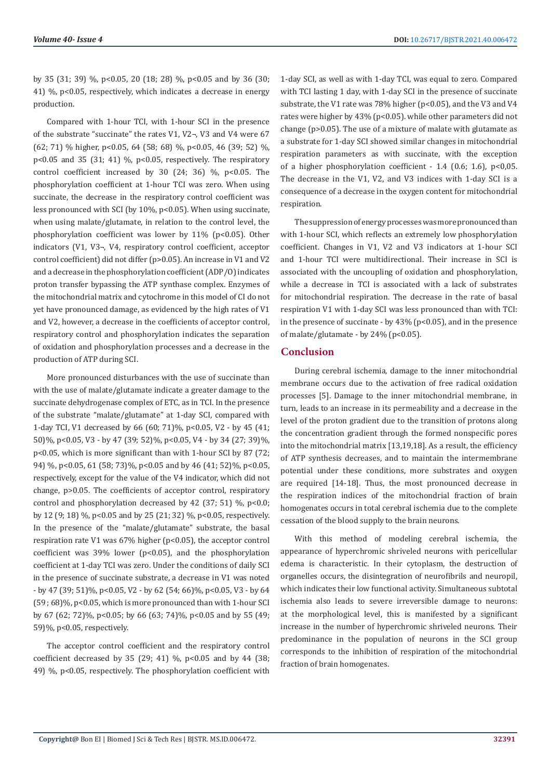by 35 (31; 39) %, p<0.05, 20 (18; 28) %, p<0.05 and by 36 (30; 41) %, p<0.05, respectively, which indicates a decrease in energy production.

Compared with 1-hour TCI, with 1-hour SCI in the presence of the substrate "succinate" the rates V1, V2¬, V3 and V4 were 67 (62; 71) % higher, p<0.05, 64 (58; 68) %, p<0.05, 46 (39; 52) %, p<0.05 and 35 (31; 41) %, p<0.05, respectively. The respiratory control coefficient increased by 30 (24; 36)  $\%$ , p<0.05. The phosphorylation coefficient at 1-hour TCI was zero. When using succinate, the decrease in the respiratory control coefficient was less pronounced with SCI (by  $10\%$ ,  $p<0.05$ ). When using succinate, when using malate/glutamate, in relation to the control level, the phosphorylation coefficient was lower by 11% (p<0.05). Other indicators (V1, V3¬, V4, respiratory control coefficient, acceptor control coefficient) did not differ (p>0.05). An increase in V1 and V2 and a decrease in the phosphorylation coefficient (ADP/O) indicates proton transfer bypassing the ATP synthase complex. Enzymes of the mitochondrial matrix and cytochrome in this model of CI do not yet have pronounced damage, as evidenced by the high rates of V1 and V2, however, a decrease in the coefficients of acceptor control, respiratory control and phosphorylation indicates the separation of oxidation and phosphorylation processes and a decrease in the production of ATP during SCI.

More pronounced disturbances with the use of succinate than with the use of malate/glutamate indicate a greater damage to the succinate dehydrogenase complex of ETC, as in TCI. In the presence of the substrate "malate/glutamate" at 1-day SCI, compared with 1-day TCI, V1 decreased by 66 (60; 71)%, p<0.05, V2 - by 45 (41; 50)%, p<0.05, V3 - by 47 (39; 52)%, p<0.05, V4 - by 34 (27; 39)%, p<0.05, which is more significant than with 1-hour SCI by 87 (72; 94) %, p<0.05, 61 (58; 73)%, p<0.05 and by 46 (41; 52)%, p<0.05, respectively, except for the value of the V4 indicator, which did not change, p>0.05. The coefficients of acceptor control, respiratory control and phosphorylation decreased by 42 (37; 51)  $\%$ , p<0.0; by 12 (9; 18) %, p<0.05 and by 25 (21; 32) %, p<0.05, respectively. In the presence of the "malate/glutamate" substrate, the basal respiration rate V1 was 67% higher (p<0.05), the acceptor control coefficient was 39% lower (p<0.05), and the phosphorylation coefficient at 1-day TCI was zero. Under the conditions of daily SCI in the presence of succinate substrate, a decrease in V1 was noted - by 47 (39; 51)%, p<0.05, V2 - by 62 (54; 66)%, p<0.05, V3 - by 64 (59 ; 68)%, p<0.05, which is more pronounced than with 1-hour SCI by 67 (62; 72)%, p<0.05; by 66 (63; 74)%, p<0.05 and by 55 (49; 59)%, p<0.05, respectively.

The acceptor control coefficient and the respiratory control coefficient decreased by 35 (29; 41) %,  $p < 0.05$  and by 44 (38; 49) %, p<0.05, respectively. The phosphorylation coefficient with 1-day SCI, as well as with 1-day TCI, was equal to zero. Compared with TCI lasting 1 day, with 1-day SCI in the presence of succinate substrate, the V1 rate was 78% higher (p<0.05), and the V3 and V4 rates were higher by 43% (p<0.05). while other parameters did not change (p>0.05). The use of a mixture of malate with glutamate as a substrate for 1-day SCI showed similar changes in mitochondrial respiration parameters as with succinate, with the exception of a higher phosphorylation coefficient - 1.4 (0.6; 1.6),  $p<0.05$ . The decrease in the V1, V2, and V3 indices with 1-day SCI is a consequence of a decrease in the oxygen content for mitochondrial respiration.

The suppression of energy processes was more pronounced than with 1-hour SCI, which reflects an extremely low phosphorylation coefficient. Changes in V1, V2 and V3 indicators at 1-hour SCI and 1-hour TCI were multidirectional. Their increase in SCI is associated with the uncoupling of oxidation and phosphorylation, while a decrease in TCI is associated with a lack of substrates for mitochondrial respiration. The decrease in the rate of basal respiration V1 with 1-day SCI was less pronounced than with TCI: in the presence of succinate - by  $43\%$  (p<0.05), and in the presence of malate/glutamate - by  $24\%$  (p<0.05).

#### **Conclusion**

During cerebral ischemia, damage to the inner mitochondrial membrane occurs due to the activation of free radical oxidation processes [5]. Damage to the inner mitochondrial membrane, in turn, leads to an increase in its permeability and a decrease in the level of the proton gradient due to the transition of protons along the concentration gradient through the formed nonspecific pores into the mitochondrial matrix [13,19,18]. As a result, the efficiency of ATP synthesis decreases, and to maintain the intermembrane potential under these conditions, more substrates and oxygen are required [14-18]. Thus, the most pronounced decrease in the respiration indices of the mitochondrial fraction of brain homogenates occurs in total cerebral ischemia due to the complete cessation of the blood supply to the brain neurons.

With this method of modeling cerebral ischemia, the appearance of hyperchromic shriveled neurons with pericellular edema is characteristic. In their cytoplasm, the destruction of organelles occurs, the disintegration of neurofibrils and neuropil, which indicates their low functional activity. Simultaneous subtotal ischemia also leads to severe irreversible damage to neurons: at the morphological level, this is manifested by a significant increase in the number of hyperchromic shriveled neurons. Their predominance in the population of neurons in the SCI group corresponds to the inhibition of respiration of the mitochondrial fraction of brain homogenates.